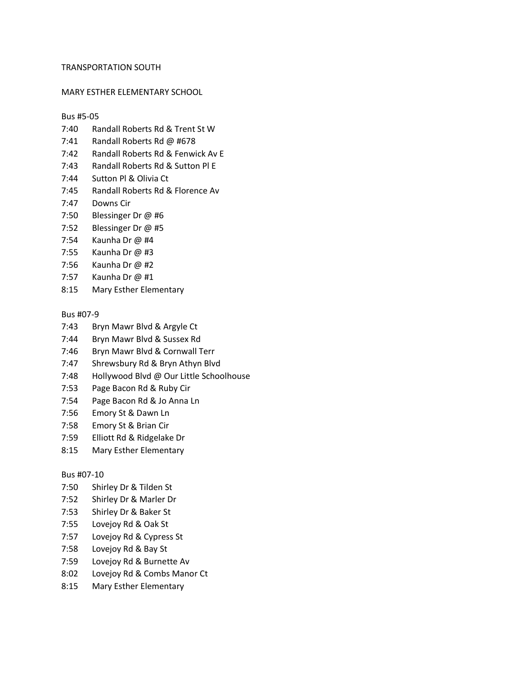#### TRANSPORTATION SOUTH

#### MARY ESTHER ELEMENTARY SCHOOL

#### Bus #5-05

- 7:40 Randall Roberts Rd & Trent St W
- 7:41 Randall Roberts Rd @ #678
- 7:42 Randall Roberts Rd & Fenwick Av E
- 7:43 Randall Roberts Rd & Sutton Pl E
- 7:44 Sutton Pl & Olivia Ct
- 7:45 Randall Roberts Rd & Florence Av
- 7:47 Downs Cir
- 7:50 Blessinger Dr @ #6
- 7:52 Blessinger Dr @ #5
- 7:54 Kaunha Dr @ #4
- 7:55 Kaunha Dr @ #3
- 7:56 Kaunha Dr @ #2
- 7:57 Kaunha Dr @ #1
- 8:15 Mary Esther Elementary

# Bus #07-9

- 7:43 Bryn Mawr Blvd & Argyle Ct
- 7:44 Bryn Mawr Blvd & Sussex Rd
- 7:46 Bryn Mawr Blvd & Cornwall Terr
- 7:47 Shrewsbury Rd & Bryn Athyn Blvd
- 7:48 Hollywood Blvd @ Our Little Schoolhouse
- 7:53 Page Bacon Rd & Ruby Cir
- 7:54 Page Bacon Rd & Jo Anna Ln
- 7:56 Emory St & Dawn Ln
- 7:58 Emory St & Brian Cir
- 7:59 Elliott Rd & Ridgelake Dr
- 8:15 Mary Esther Elementary

# Bus #07-10

- 7:50 Shirley Dr & Tilden St
- 7:52 Shirley Dr & Marler Dr
- 7:53 Shirley Dr & Baker St
- 7:55 Lovejoy Rd & Oak St
- 7:57 Lovejoy Rd & Cypress St
- 7:58 Lovejoy Rd & Bay St
- 7:59 Lovejoy Rd & Burnette Av
- 8:02 Lovejoy Rd & Combs Manor Ct
- 8:15 Mary Esther Elementary